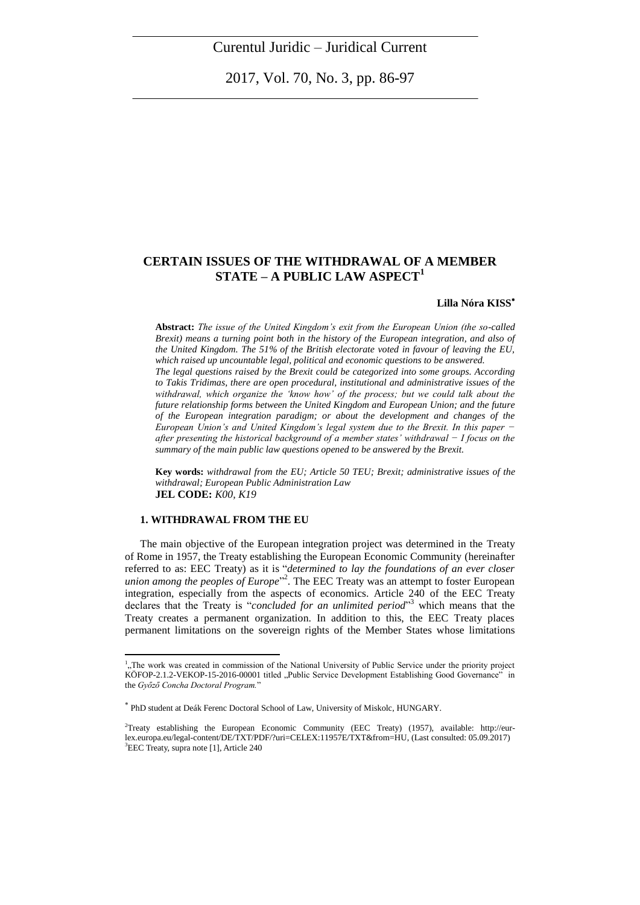2017, Vol. 70, No. 3, pp. 86-97

# **CERTAIN ISSUES OF THE WITHDRAWAL OF A MEMBER STATE – A PUBLIC LAW ASPECT<sup>1</sup>**

## **Lilla Nóra KISS**

**Abstract:** *The issue of the United Kingdom's exit from the European Union (the so-called Brexit) means a turning point both in the history of the European integration, and also of the United Kingdom. The 51% of the British electorate voted in favour of leaving the EU, which raised up uncountable legal, political and economic questions to be answered.* 

*The legal questions raised by the Brexit could be categorized into some groups. According to Takis Tridimas, there are open procedural, institutional and administrative issues of the withdrawal, which organize the 'know how' of the process; but we could talk about the future relationship forms between the United Kingdom and European Union; and the future of the European integration paradigm; or about the development and changes of the European Union's and United Kingdom's legal system due to the Brexit. In this paper − after presenting the historical background of a member states' withdrawal − I focus on the summary of the main public law questions opened to be answered by the Brexit.*

**Key words:** *withdrawal from the EU; Article 50 TEU; Brexit; administrative issues of the withdrawal; European Public Administration Law* **JEL CODE:** *K00, K19*

### **1. WITHDRAWAL FROM THE EU**

 $\overline{a}$ 

The main objective of the European integration project was determined in the Treaty of Rome in 1957, the Treaty establishing the European Economic Community (hereinafter referred to as: EEC Treaty) as it is "*determined to lay the foundations of an ever closer union among the peoples of Europe*" 2 . The EEC Treaty was an attempt to foster European integration, especially from the aspects of economics. Article 240 of the EEC Treaty declares that the Treaty is "*concluded for an unlimited period*" <sup>3</sup> which means that the Treaty creates a permanent organization. In addition to this, the EEC Treaty places permanent limitations on the sovereign rights of the Member States whose limitations

<sup>&</sup>lt;sup>1</sup>, The work was created in commission of the National University of Public Service under the priority project KÖFOP-2.1.2-VEKOP[-15-2016-00001](tel:15201600001) titled "Public Service Development Establishing Good Governance" in the *Győző Concha Doctoral Program.*"

PhD student at Deák Ferenc Doctoral School of Law, University of Miskolc, HUNGARY.

<sup>2</sup>Treaty establishing the European Economic Community (EEC Treaty) (1957), available: [http://eur](http://eur-lex.europa.eu/legal-content/DE/TXT/PDF/?uri=CELEX:11957E/TXT&from=HU)[lex.europa.eu/legal-content/DE/TXT/PDF/?uri=CELEX:11957E/TXT&from=HU,](http://eur-lex.europa.eu/legal-content/DE/TXT/PDF/?uri=CELEX:11957E/TXT&from=HU) (Last consulted: 05.09.2017) <sup>3</sup>EEC Treaty, supra note [1], Article 240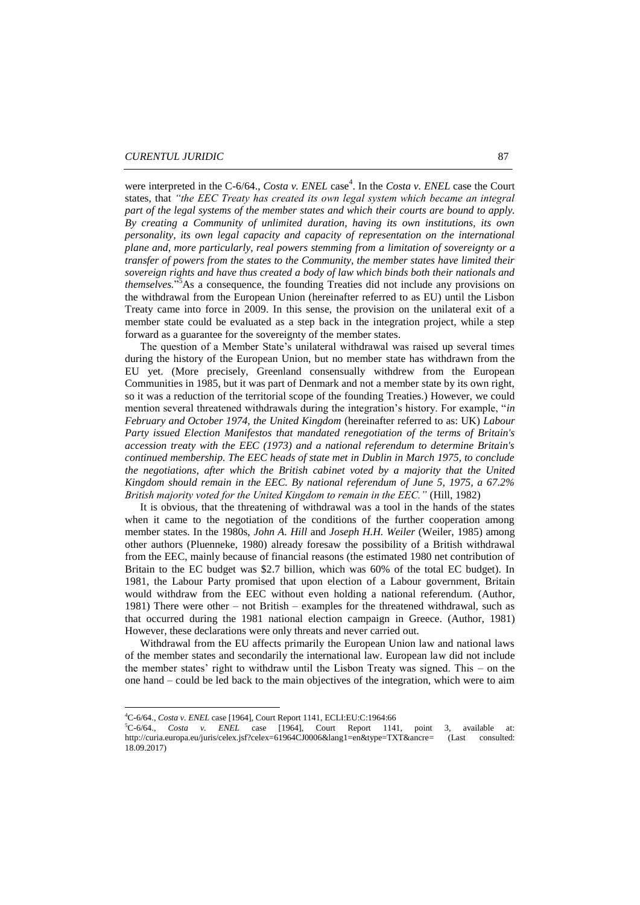were interpreted in the C-6/64., *Costa v. ENEL* case<sup>4</sup>. In the *Costa v. ENEL* case the Court states, that *"the EEC Treaty has created its own legal system which became an integral part of the legal systems of the member states and which their courts are bound to apply. By creating a Community of unlimited duration, having its own institutions, its own personality, its own legal capacity and capacity of representation on the international plane and, more particularly, real powers stemming from a limitation of sovereignty or a transfer of powers from the states to the Community, the member states have limited their sovereign rights and have thus created a body of law which binds both their nationals and themselves.*" <sup>5</sup>As a consequence, the founding Treaties did not include any provisions on the withdrawal from the European Union (hereinafter referred to as EU) until the Lisbon Treaty came into force in 2009. In this sense, the provision on the unilateral exit of a member state could be evaluated as a step back in the integration project, while a step forward as a guarantee for the sovereignty of the member states.

The question of a Member State's unilateral withdrawal was raised up several times during the history of the European Union, but no member state has withdrawn from the EU yet. (More precisely, Greenland consensually withdrew from the European Communities in 1985, but it was part of Denmark and not a member state by its own right, so it was a reduction of the territorial scope of the founding Treaties.) However, we could mention several threatened withdrawals during the integration's history. For example, "*in February and October 1974, the United Kingdom* (hereinafter referred to as: UK) *Labour Party issued Election Manifestos that mandated renegotiation of the terms of Britain's accession treaty with the EEC (1973) and a national referendum to determine Britain's continued membership. The EEC heads of state met in Dublin in March 1975, to conclude the negotiations, after which the British cabinet voted by a majority that the United Kingdom should remain in the EEC. By national referendum of June 5, 1975, a 67.2% British majority voted for the United Kingdom to remain in the EEC."* (Hill, 1982)

It is obvious, that the threatening of withdrawal was a tool in the hands of the states when it came to the negotiation of the conditions of the further cooperation among member states. In the 1980s, *John A. Hill* and *Joseph H.H. Weiler* (Weiler, 1985) among other authors (Pluenneke, 1980) already foresaw the possibility of a British withdrawal from the EEC, mainly because of financial reasons (the estimated 1980 net contribution of Britain to the EC budget was \$2.7 billion, which was 60% of the total EC budget). In 1981, the Labour Party promised that upon election of a Labour government, Britain would withdraw from the EEC without even holding a national referendum. (Author, 1981) There were other – not British – examples for the threatened withdrawal, such as that occurred during the 1981 national election campaign in Greece. (Author, 1981) However, these declarations were only threats and never carried out.

Withdrawal from the EU affects primarily the European Union law and national laws of the member states and secondarily the international law. European law did not include the member states' right to withdraw until the Lisbon Treaty was signed. This – on the one hand – could be led back to the main objectives of the integration, which were to aim

1

<sup>4</sup>C-6/64., *Costa v. ENEL* case [1964], Court Report 1141, ECLI:EU:C:1964:66

<sup>5</sup>C-6/64., *Costa v. ENEL* case [1964], Court Report 1141, point 3, available at: [http://curia.europa.eu/juris/celex.jsf?celex=61964CJ0006&lang1=en&type=TXT&ancre=](http://curia.europa.eu/juris/celex.jsf?celex=61964CJ0006&lang1=en&type=TXT&ancre) (Last consulted: 18.09.2017)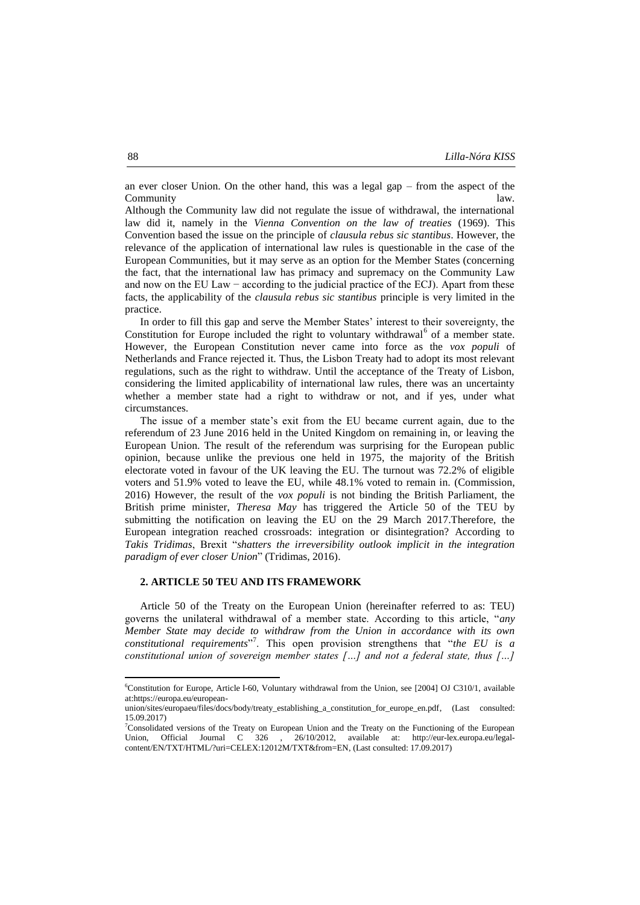an ever closer Union. On the other hand, this was a legal gap – from the aspect of the **Community** law.

Although the Community law did not regulate the issue of withdrawal, the international law did it, namely in the *Vienna Convention on the law of treaties* (1969). This Convention based the issue on the principle of *clausula rebus sic stantibus*. However, the relevance of the application of international law rules is questionable in the case of the European Communities, but it may serve as an option for the Member States (concerning the fact, that the international law has primacy and supremacy on the Community Law and now on the EU Law − according to the judicial practice of the ECJ). Apart from these facts, the applicability of the *clausula rebus sic stantibus* principle is very limited in the practice.

In order to fill this gap and serve the Member States' interest to their sovereignty, the Constitution for Europe included the right to voluntary withdrawal<sup>6</sup> of a member state. However, the European Constitution never came into force as the *vox populi* of Netherlands and France rejected it. Thus, the Lisbon Treaty had to adopt its most relevant regulations, such as the right to withdraw. Until the acceptance of the Treaty of Lisbon, considering the limited applicability of international law rules, there was an uncertainty whether a member state had a right to withdraw or not, and if yes, under what circumstances.

The issue of a member state's exit from the EU became current again, due to the referendum of 23 June 2016 held in the United Kingdom on remaining in, or leaving the European Union. The result of the referendum was surprising for the European public opinion, because unlike the previous one held in 1975, the majority of the British electorate voted in favour of the UK leaving the EU. The turnout was 72.2% of eligible voters and 51.9% voted to leave the EU, while 48.1% voted to remain in. (Commission, 2016) However, the result of the *vox populi* is not binding the British Parliament, the British prime minister, *Theresa May* has triggered the Article 50 of the TEU by submitting the notification on leaving the EU on the 29 March 2017.Therefore, the European integration reached crossroads: integration or disintegration? According to *Takis Tridimas*, Brexit "*shatters the irreversibility outlook implicit in the integration paradigm of ever closer Union*" (Tridimas, 2016).

### **2. ARTICLE 50 TEU AND ITS FRAMEWORK**

Article 50 of the Treaty on the European Union (hereinafter referred to as: TEU) governs the unilateral withdrawal of a member state. According to this article, "*any Member State may decide to withdraw from the Union in accordance with its own constitutional requirements*" 7 . This open provision strengthens that "*the EU is a constitutional union of sovereign member states […] and not a federal state, thus […]* 

 $\overline{a}$ 

<sup>6</sup>Constitution for Europe, Article I-60, Voluntary withdrawal from the Union, see [2004] OJ C310/1, available a[t:https://europa.eu/european-](https://europa.eu/european-union/sites/europaeu/files/docs/body/treaty_establishing_a_constitution_for_europe_en.pdf)

[union/sites/europaeu/files/docs/body/treaty\\_establishing\\_a\\_constitution\\_for\\_europe\\_en.pdf,](https://europa.eu/european-union/sites/europaeu/files/docs/body/treaty_establishing_a_constitution_for_europe_en.pdf) (Last consulted: 15.09.2017)

 $7$ Consolidated versions of the Treaty on European Union and the Treaty on the Functioning of the European Union, Official Journal C 326 , 26/10/2012, available at: [http://eur-lex.europa.eu/legal](http://eur-lex.europa.eu/legal-content/EN/TXT/HTML/?uri=CELEX:12012M/TXT&from=EN)[content/EN/TXT/HTML/?uri=CELEX:12012M/TXT&from=EN,](http://eur-lex.europa.eu/legal-content/EN/TXT/HTML/?uri=CELEX:12012M/TXT&from=EN) (Last consulted: 17.09.2017)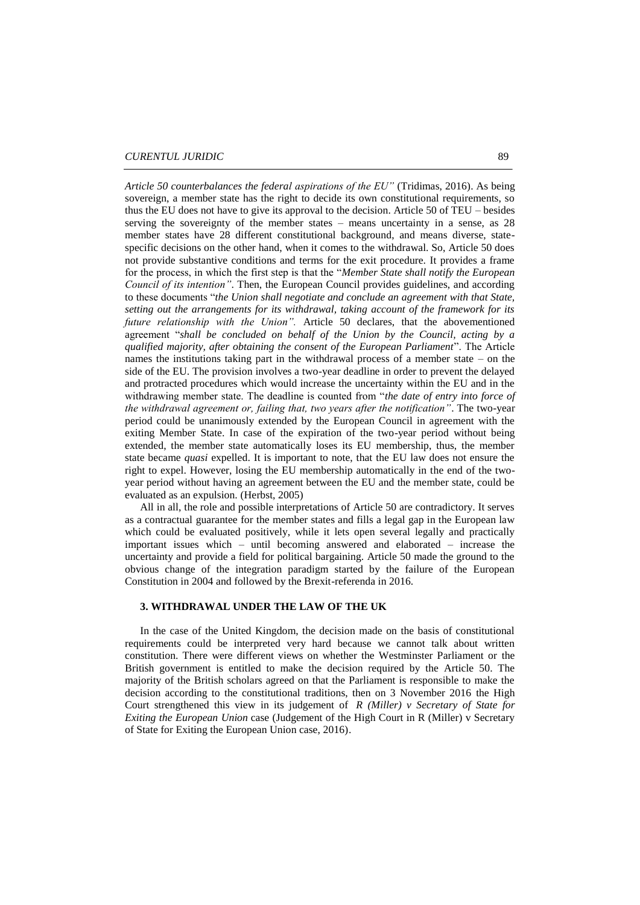*Article 50 counterbalances the federal aspirations of the EU"* (Tridimas, 2016). As being sovereign, a member state has the right to decide its own constitutional requirements, so thus the EU does not have to give its approval to the decision. Article 50 of TEU – besides serving the sovereignty of the member states – means uncertainty in a sense, as 28 member states have 28 different constitutional background, and means diverse, statespecific decisions on the other hand, when it comes to the withdrawal. So, Article 50 does not provide substantive conditions and terms for the exit procedure. It provides a frame for the process, in which the first step is that the "*Member State shall notify the European Council of its intention"*. Then, the European Council provides guidelines, and according to these documents "*the Union shall negotiate and conclude an agreement with that State, setting out the arrangements for its withdrawal, taking account of the framework for its future relationship with the Union".* Article 50 declares, that the abovementioned agreement "*shall be concluded on behalf of the Union by the Council, acting by a qualified majority, after obtaining the consent of the European Parliament*". The Article names the institutions taking part in the withdrawal process of a member state – on the side of the EU. The provision involves a two-year deadline in order to prevent the delayed and protracted procedures which would increase the uncertainty within the EU and in the withdrawing member state. The deadline is counted from "*the date of entry into force of the withdrawal agreement or, failing that, two years after the notification"*. The two-year period could be unanimously extended by the European Council in agreement with the exiting Member State. In case of the expiration of the two-year period without being extended, the member state automatically loses its EU membership, thus, the member state became *quasi* expelled. It is important to note, that the EU law does not ensure the right to expel. However, losing the EU membership automatically in the end of the twoyear period without having an agreement between the EU and the member state, could be evaluated as an expulsion. (Herbst, 2005)

All in all, the role and possible interpretations of Article 50 are contradictory. It serves as a contractual guarantee for the member states and fills a legal gap in the European law which could be evaluated positively, while it lets open several legally and practically important issues which – until becoming answered and elaborated – increase the uncertainty and provide a field for political bargaining. Article 50 made the ground to the obvious change of the integration paradigm started by the failure of the European Constitution in 2004 and followed by the Brexit-referenda in 2016.

# **3. WITHDRAWAL UNDER THE LAW OF THE UK**

In the case of the United Kingdom, the decision made on the basis of constitutional requirements could be interpreted very hard because we cannot talk about written constitution. There were different views on whether the Westminster Parliament or the British government is entitled to make the decision required by the Article 50. The majority of the British scholars agreed on that the Parliament is responsible to make the decision according to the constitutional traditions, then on 3 November 2016 the High Court strengthened this view in its judgement of *[R \(Miller\) v Secretary of State for](https://www.judiciary.gov.uk/wp-content/uploads/2016/11/judgment-r-miller-v-secretary-of-state-for-exiting-the-eu-20161103.pdf)  [Exiting the European Union](https://www.judiciary.gov.uk/wp-content/uploads/2016/11/judgment-r-miller-v-secretary-of-state-for-exiting-the-eu-20161103.pdf)* case (Judgement of the High Court in R (Miller) v Secretary of State for Exiting the European Union case, 2016).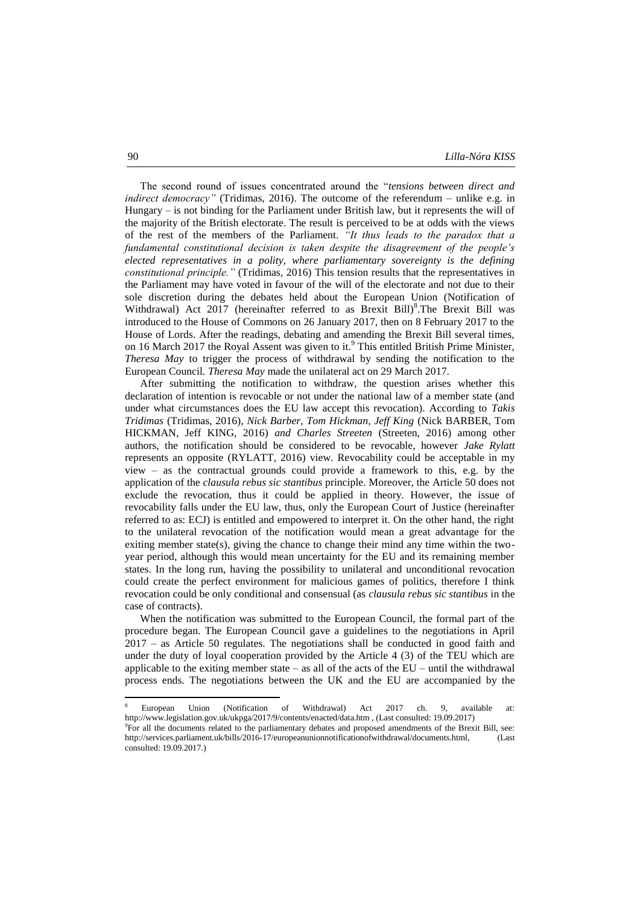The second round of issues concentrated around the "*tensions between direct and indirect democracy*" (Tridimas, 2016). The outcome of the referendum – unlike e.g. in Hungary – is not binding for the Parliament under British law, but it represents the will of the majority of the British electorate. The result is perceived to be at odds with the views of the rest of the members of the Parliament. *"It thus leads to the paradox that a fundamental constitutional decision is taken despite the disagreement of the people's elected representatives in a polity, where parliamentary sovereignty is the defining constitutional principle."* (Tridimas, 2016) This tension results that the representatives in the Parliament may have voted in favour of the will of the electorate and not due to their sole discretion during the debates held about the European Union (Notification of Withdrawal) Act 2017 (hereinafter referred to as Brexit Bill)<sup>8</sup>. The Brexit Bill was introduced to the House of Commons on 26 January 2017, then on 8 February 2017 to the House of Lords. After the readings, debating and amending the Brexit Bill several times, on 16 March 2017 the Royal Assent was given to it.<sup>9</sup> This entitled British Prime Minister, *Theresa May* to trigger the process of withdrawal by sending the notification to the European Council. *Theresa May* made the unilateral act on 29 March 2017.

After submitting the notification to withdraw, the question arises whether this declaration of intention is revocable or not under the national law of a member state (and under what circumstances does the EU law accept this revocation). According to *Takis Tridimas* (Tridimas, 2016)*, Nick Barber, Tom Hickman, Jeff King* (Nick BARBER, Tom HICKMAN, Jeff KING, 2016) *and Charles Streeten* (Streeten, 2016) among other authors, the notification should be considered to be revocable, however *Jake Rylatt* represents an opposite (RYLATT, 2016) view. Revocability could be acceptable in my view – as the contractual grounds could provide a framework to this, e.g. by the application of the *clausula rebus sic stantibus* principle. Moreover, the Article 50 does not exclude the revocation, thus it could be applied in theory. However, the issue of revocability falls under the EU law, thus, only the European Court of Justice (hereinafter referred to as: ECJ) is entitled and empowered to interpret it. On the other hand, the right to the unilateral revocation of the notification would mean a great advantage for the exiting member state(s), giving the chance to change their mind any time within the twoyear period, although this would mean uncertainty for the EU and its remaining member states. In the long run, having the possibility to unilateral and unconditional revocation could create the perfect environment for malicious games of politics, therefore I think revocation could be only conditional and consensual (as *clausula rebus sic stantibus* in the case of contracts).

When the notification was submitted to the European Council, the formal part of the procedure began. The European Council gave a guidelines to the negotiations in April 2017 – as Article 50 regulates. The negotiations shall be conducted in good faith and under the duty of loyal cooperation provided by the Article 4 (3) of the TEU which are applicable to the exiting member state – as all of the acts of the  $EU$  – until the withdrawal process ends. The negotiations between the UK and the EU are accompanied by the

**.** 

<sup>8</sup> European Union (Notification of Withdrawal) Act 2017 ch. 9, available at: http://www.legislation.gov.uk/ukpga/2017/9/contents/enacted/data.htm , (Last consulted: 19.09.2017)

<sup>9</sup> For all the documents related to the parliamentary debates and proposed amendments of the Brexit Bill, see: [http://services.parliament.uk/bills/2016-17/europeanunionnotificationofwithdrawal/documents.html,](http://services.parliament.uk/bills/2016-17/europeanunionnotificationofwithdrawal/documents.html) (Last consulted: 19.09.2017.)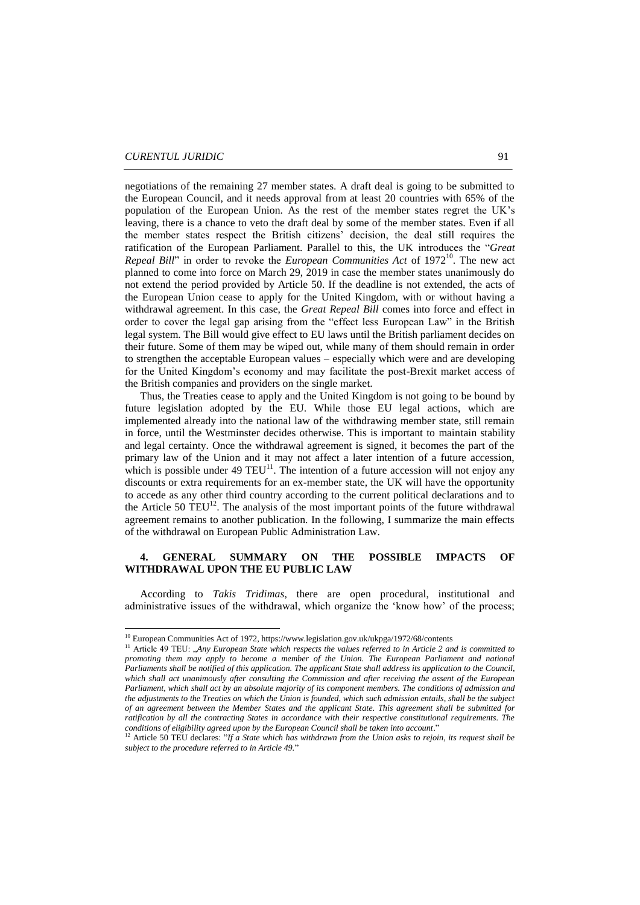**.** 

negotiations of the remaining 27 member states. A draft deal is going to be submitted to the European Council, and it needs approval from at least 20 countries with 65% of the population of the European Union. As the rest of the member states regret the UK's leaving, there is a chance to veto the draft deal by some of the member states. Even if all the member states respect the British citizens' decision, the deal still requires the ratification of the European Parliament. Parallel to this, the UK introduces the "*Great Repeal Bill*" in order to revoke the *European Communities Act* of 1972<sup>10</sup>. The new act planned to come into force on March 29, 2019 in case the member states unanimously do not extend the period provided by Article 50. If the deadline is not extended, the acts of the European Union cease to apply for the United Kingdom, with or without having a withdrawal agreement. In this case, the *Great Repeal Bill* comes into force and effect in order to cover the legal gap arising from the "effect less European Law" in the British legal system. The Bill would give effect to EU laws until the British parliament decides on their future. Some of them may be wiped out, while many of them should remain in order to strengthen the acceptable European values – especially which were and are developing for the United Kingdom's economy and may facilitate the post-Brexit market access of the British companies and providers on the single market.

Thus, the Treaties cease to apply and the United Kingdom is not going to be bound by future legislation adopted by the EU. While those EU legal actions, which are implemented already into the national law of the withdrawing member state, still remain in force, until the Westminster decides otherwise. This is important to maintain stability and legal certainty. Once the withdrawal agreement is signed, it becomes the part of the primary law of the Union and it may not affect a later intention of a future accession, which is possible under 49 TEU<sup>11</sup>. The intention of a future accession will not enjoy any discounts or extra requirements for an ex-member state, the UK will have the opportunity to accede as any other third country according to the current political declarations and to the Article 50  $TEU^{12}$ . The analysis of the most important points of the future withdrawal agreement remains to another publication. In the following, I summarize the main effects of the withdrawal on European Public Administration Law.

# **4. GENERAL SUMMARY ON THE POSSIBLE IMPACTS OF WITHDRAWAL UPON THE EU PUBLIC LAW**

According to *Takis Tridimas*, there are open procedural, institutional and administrative issues of the withdrawal, which organize the 'know how' of the process;

<sup>&</sup>lt;sup>10</sup> European Communities Act of 1972, https://www.legislation.gov.uk/ukpga/1972/68/contents

<sup>&</sup>lt;sup>11</sup> Article 49 TEU: *Any European State which respects the values referred to in Article 2 and is committed to promoting them may apply to become a member of the Union. The European Parliament and national Parliaments shall be notified of this application. The applicant State shall address its application to the Council, which shall act unanimously after consulting the Commission and after receiving the assent of the European Parliament, which shall act by an absolute majority of its component members. The conditions of admission and the adjustments to the Treaties on which the Union is founded, which such admission entails, shall be the subject of an agreement between the Member States and the applicant State. This agreement shall be submitted for ratification by all the contracting States in accordance with their respective constitutional requirements. The conditions of eligibility agreed upon by the European Council shall be taken into account*."

<sup>&</sup>lt;sup>12</sup> Article 50 TEU declares: "*If a State which has withdrawn from the Union asks to rejoin, its request shall be subject to the procedure referred to in Article 49.*"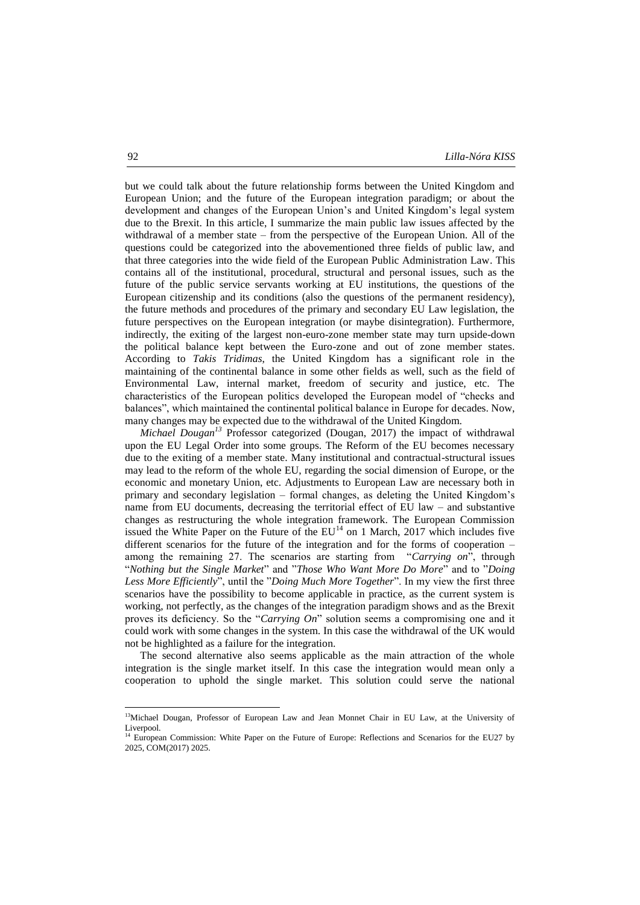but we could talk about the future relationship forms between the United Kingdom and European Union; and the future of the European integration paradigm; or about the development and changes of the European Union's and United Kingdom's legal system due to the Brexit. In this article, I summarize the main public law issues affected by the withdrawal of a member state – from the perspective of the European Union. All of the questions could be categorized into the abovementioned three fields of public law, and that three categories into the wide field of the European Public Administration Law. This contains all of the institutional, procedural, structural and personal issues, such as the future of the public service servants working at EU institutions, the questions of the European citizenship and its conditions (also the questions of the permanent residency), the future methods and procedures of the primary and secondary EU Law legislation, the future perspectives on the European integration (or maybe disintegration). Furthermore, indirectly, the exiting of the largest non-euro-zone member state may turn upside-down the political balance kept between the Euro-zone and out of zone member states. According to *Takis Tridimas*, the United Kingdom has a significant role in the maintaining of the continental balance in some other fields as well, such as the field of Environmental Law, internal market, freedom of security and justice, etc. The characteristics of the European politics developed the European model of "checks and balances", which maintained the continental political balance in Europe for decades. Now, many changes may be expected due to the withdrawal of the United Kingdom.

*Michael Dougan<sup>13</sup>* Professor categorized (Dougan, 2017) the impact of withdrawal upon the EU Legal Order into some groups. The Reform of the EU becomes necessary due to the exiting of a member state. Many institutional and contractual-structural issues may lead to the reform of the whole EU, regarding the social dimension of Europe, or the economic and monetary Union, etc. Adjustments to European Law are necessary both in primary and secondary legislation – formal changes, as deleting the United Kingdom's name from EU documents, decreasing the territorial effect of EU law – and substantive changes as restructuring the whole integration framework. The European Commission issued the White Paper on the Future of the  $EU^{14}$  on 1 March, 2017 which includes five different scenarios for the future of the integration and for the forms of cooperation – among the remaining 27. The scenarios are starting from "*Carrying on*", through "*Nothing but the Single Market*" and "*Those Who Want More Do More*" and to "*Doing Less More Efficiently*", until the "*Doing Much More Together*". In my view the first three scenarios have the possibility to become applicable in practice, as the current system is working, not perfectly, as the changes of the integration paradigm shows and as the Brexit proves its deficiency. So the "*Carrying On*" solution seems a compromising one and it could work with some changes in the system. In this case the withdrawal of the UK would not be highlighted as a failure for the integration.

The second alternative also seems applicable as the main attraction of the whole integration is the single market itself. In this case the integration would mean only a cooperation to uphold the single market. This solution could serve the national

1

<sup>&</sup>lt;sup>13</sup>Michael Dougan, Professor of European Law and Jean Monnet Chair in EU Law, at the University of Liverpool.

<sup>&</sup>lt;sup>14</sup> European Commission: White Paper on the Future of Europe: Reflections and Scenarios for the EU27 by 2025, COM(2017) 2025.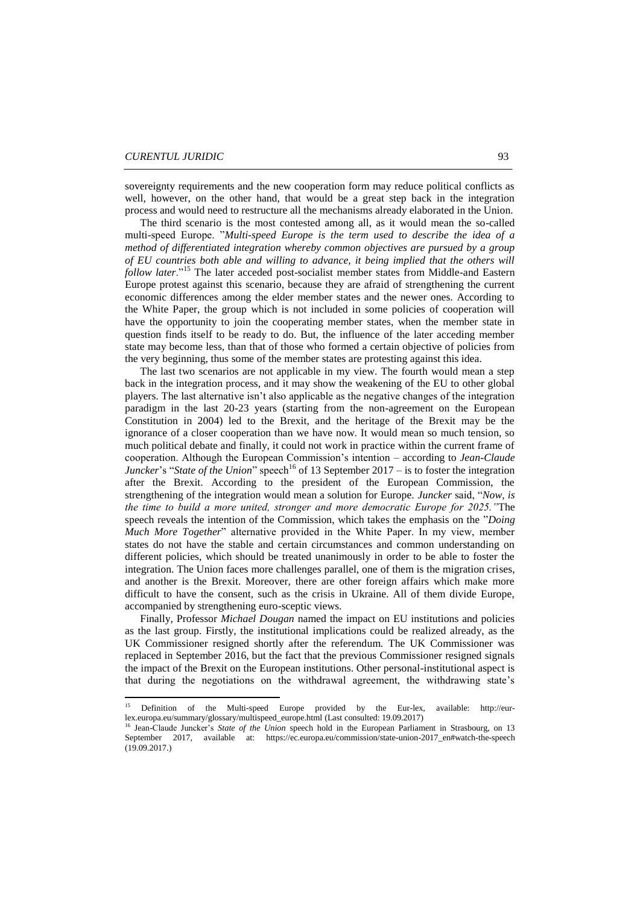sovereignty requirements and the new cooperation form may reduce political conflicts as well, however, on the other hand, that would be a great step back in the integration process and would need to restructure all the mechanisms already elaborated in the Union.

The third scenario is the most contested among all, as it would mean the so-called multi-speed Europe. "*Multi-speed Europe is the term used to describe the idea of a method of differentiated integration whereby common objectives are pursued by a group of EU countries both able and willing to advance, it being implied that the others will follow later*."<sup>15</sup> The later acceded post-socialist member states from Middle-and Eastern Europe protest against this scenario, because they are afraid of strengthening the current economic differences among the elder member states and the newer ones. According to the White Paper, the group which is not included in some policies of cooperation will have the opportunity to join the cooperating member states, when the member state in question finds itself to be ready to do. But, the influence of the later acceding member state may become less, than that of those who formed a certain objective of policies from the very beginning, thus some of the member states are protesting against this idea.

The last two scenarios are not applicable in my view. The fourth would mean a step back in the integration process, and it may show the weakening of the EU to other global players. The last alternative isn't also applicable as the negative changes of the integration paradigm in the last 20-23 years (starting from the non-agreement on the European Constitution in 2004) led to the Brexit, and the heritage of the Brexit may be the ignorance of a closer cooperation than we have now. It would mean so much tension, so much political debate and finally, it could not work in practice within the current frame of cooperation. Although the European Commission's intention – according to *Jean-Claude Juncker*'s "*State of the Union*" speech<sup>16</sup> of 13 September 2017 – is to foster the integration after the Brexit. According to the president of the European Commission, the strengthening of the integration would mean a solution for Europe. *Juncker* said, "*Now, is the time to build a more united, stronger and more democratic Europe for 2025."*The speech reveals the intention of the Commission, which takes the emphasis on the "*Doing Much More Together*" alternative provided in the White Paper. In my view, member states do not have the stable and certain circumstances and common understanding on different policies, which should be treated unanimously in order to be able to foster the integration. The Union faces more challenges parallel, one of them is the migration crises, and another is the Brexit. Moreover, there are other foreign affairs which make more difficult to have the consent, such as the crisis in Ukraine. All of them divide Europe, accompanied by strengthening euro-sceptic views.

Finally, Professor *Michael Dougan* named the impact on EU institutions and policies as the last group. Firstly, the institutional implications could be realized already, as the UK Commissioner resigned shortly after the referendum. The UK Commissioner was replaced in September 2016, but the fact that the previous Commissioner resigned signals the impact of the Brexit on the European institutions. Other personal-institutional aspect is that during the negotiations on the withdrawal agreement, the withdrawing state's

 $15$ <sup>15</sup> Definition of the Multi-speed Europe provided by the Eur-lex, available: [http://eur](http://eur-lex.europa.eu/summary/glossary/multispeed_europe.html)[lex.europa.eu/summary/glossary/multispeed\\_europe.html](http://eur-lex.europa.eu/summary/glossary/multispeed_europe.html) (Last consulted: 19.09.2017)<br><sup>16</sup> Jean Claude Kurslan, 19.08.2017

<sup>16</sup> Jean-Claude Juncker's *State of the Union* speech hold in the European Parliament in Strasbourg, on 13 September 2017, available at: [https://ec.europa.eu/commission/state-union-2017\\_en#watch-the-speech](https://ec.europa.eu/commission/state-union-2017_en#watch-the-speech)  $(19.09.2017.)$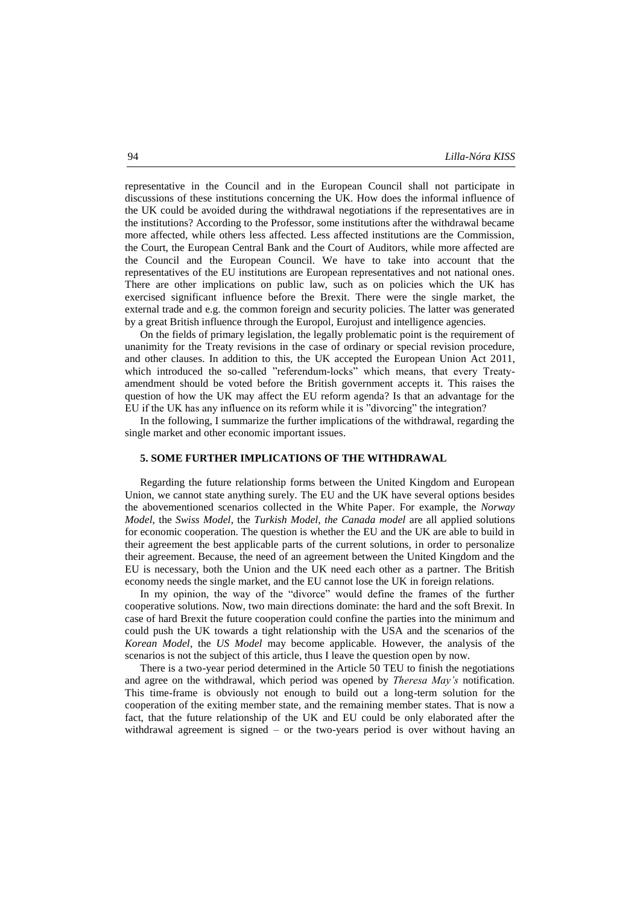representative in the Council and in the European Council shall not participate in discussions of these institutions concerning the UK. How does the informal influence of the UK could be avoided during the withdrawal negotiations if the representatives are in the institutions? According to the Professor, some institutions after the withdrawal became more affected, while others less affected. Less affected institutions are the Commission, the Court, the European Central Bank and the Court of Auditors, while more affected are the Council and the European Council. We have to take into account that the representatives of the EU institutions are European representatives and not national ones. There are other implications on public law, such as on policies which the UK has exercised significant influence before the Brexit. There were the single market, the external trade and e.g. the common foreign and security policies. The latter was generated by a great British influence through the Europol, Eurojust and intelligence agencies.

On the fields of primary legislation, the legally problematic point is the requirement of unanimity for the Treaty revisions in the case of ordinary or special revision procedure, and other clauses. In addition to this, the UK accepted the European Union Act 2011, which introduced the so-called "referendum-locks" which means, that every Treatyamendment should be voted before the British government accepts it. This raises the question of how the UK may affect the EU reform agenda? Is that an advantage for the EU if the UK has any influence on its reform while it is "divorcing" the integration?

In the following, I summarize the further implications of the withdrawal, regarding the single market and other economic important issues.

#### **5. SOME FURTHER IMPLICATIONS OF THE WITHDRAWAL**

Regarding the future relationship forms between the United Kingdom and European Union, we cannot state anything surely. The EU and the UK have several options besides the abovementioned scenarios collected in the White Paper. For example, the *Norway Model*, the *Swiss Model*, the *Turkish Model, the Canada model* are all applied solutions for economic cooperation. The question is whether the EU and the UK are able to build in their agreement the best applicable parts of the current solutions, in order to personalize their agreement. Because, the need of an agreement between the United Kingdom and the EU is necessary, both the Union and the UK need each other as a partner. The British economy needs the single market, and the EU cannot lose the UK in foreign relations.

In my opinion, the way of the "divorce" would define the frames of the further cooperative solutions. Now, two main directions dominate: the hard and the soft Brexit. In case of hard Brexit the future cooperation could confine the parties into the minimum and could push the UK towards a tight relationship with the USA and the scenarios of the *Korean Model*, the *US Model* may become applicable. However, the analysis of the scenarios is not the subject of this article, thus I leave the question open by now.

There is a two-year period determined in the Article 50 TEU to finish the negotiations and agree on the withdrawal, which period was opened by *Theresa May's* notification. This time-frame is obviously not enough to build out a long-term solution for the cooperation of the exiting member state, and the remaining member states. That is now a fact, that the future relationship of the UK and EU could be only elaborated after the withdrawal agreement is signed – or the two-years period is over without having an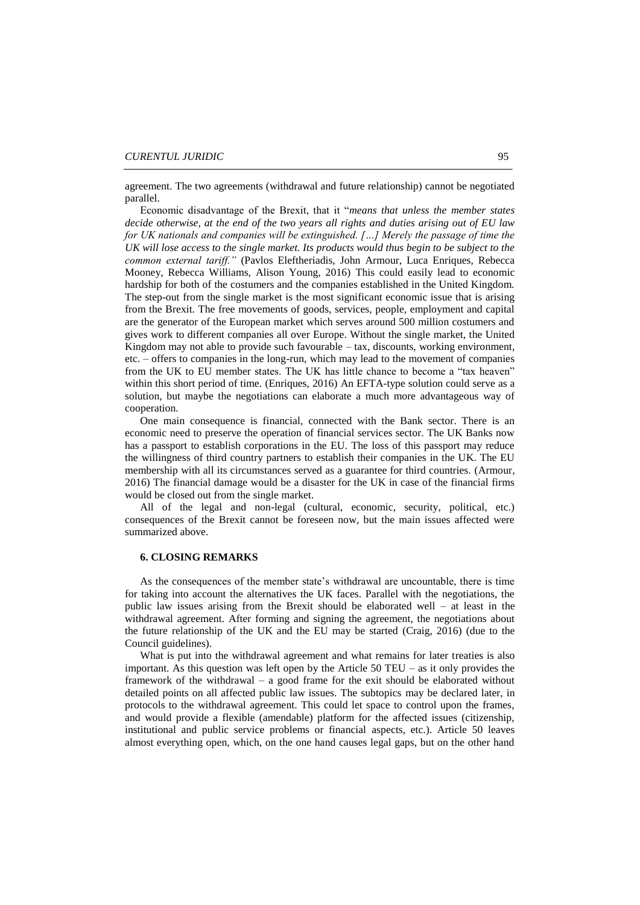agreement. The two agreements (withdrawal and future relationship) cannot be negotiated parallel.

Economic disadvantage of the Brexit, that it "*means that unless the member states decide otherwise, at the end of the two years all rights and duties arising out of EU law for UK nationals and companies will be extinguished. […] Merely the passage of time the UK will lose access to the single market. Its products would thus begin to be subject to the common external tariff."* (Pavlos Eleftheriadis, John Armour, Luca Enriques, Rebecca Mooney, Rebecca Williams, Alison Young, 2016) This could easily lead to economic hardship for both of the costumers and the companies established in the United Kingdom. The step-out from the single market is the most significant economic issue that is arising from the Brexit. The free movements of goods, services, people, employment and capital are the generator of the European market which serves around 500 million costumers and gives work to different companies all over Europe. Without the single market, the United Kingdom may not able to provide such favourable – tax, discounts, working environment, etc. – offers to companies in the long-run, which may lead to the movement of companies from the UK to EU member states. The UK has little chance to become a "tax heaven" within this short period of time. (Enriques, 2016) An EFTA-type solution could serve as a solution, but maybe the negotiations can elaborate a much more advantageous way of cooperation.

One main consequence is financial, connected with the Bank sector. There is an economic need to preserve the operation of financial services sector. The UK Banks now has a passport to establish corporations in the EU. The loss of this passport may reduce the willingness of third country partners to establish their companies in the UK. The EU membership with all its circumstances served as a guarantee for third countries. (Armour, 2016) The financial damage would be a disaster for the UK in case of the financial firms would be closed out from the single market.

All of the legal and non-legal (cultural, economic, security, political, etc.) consequences of the Brexit cannot be foreseen now, but the main issues affected were summarized above.

### **6. CLOSING REMARKS**

As the consequences of the member state's withdrawal are uncountable, there is time for taking into account the alternatives the UK faces. Parallel with the negotiations, the public law issues arising from the Brexit should be elaborated well – at least in the withdrawal agreement. After forming and signing the agreement, the negotiations about the future relationship of the UK and the EU may be started (Craig, 2016) (due to the Council guidelines).

What is put into the withdrawal agreement and what remains for later treaties is also important. As this question was left open by the Article  $50$  TEU – as it only provides the framework of the withdrawal – a good frame for the exit should be elaborated without detailed points on all affected public law issues. The subtopics may be declared later, in protocols to the withdrawal agreement. This could let space to control upon the frames, and would provide a flexible (amendable) platform for the affected issues (citizenship, institutional and public service problems or financial aspects, etc.). Article 50 leaves almost everything open, which, on the one hand causes legal gaps, but on the other hand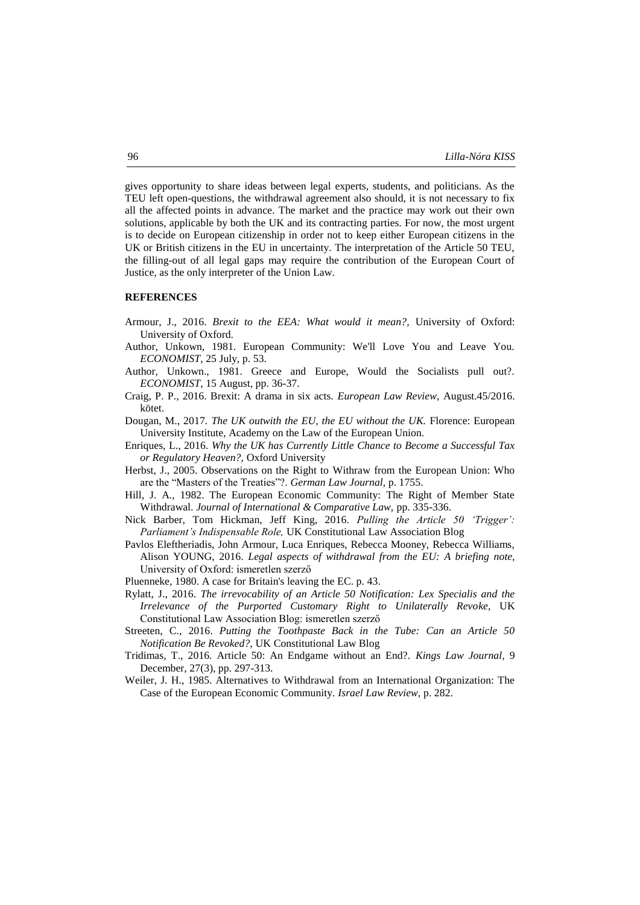gives opportunity to share ideas between legal experts, students, and politicians. As the TEU left open-questions, the withdrawal agreement also should, it is not necessary to fix all the affected points in advance. The market and the practice may work out their own solutions, applicable by both the UK and its contracting parties. For now, the most urgent is to decide on European citizenship in order not to keep either European citizens in the UK or British citizens in the EU in uncertainty. The interpretation of the Article 50 TEU, the filling-out of all legal gaps may require the contribution of the European Court of Justice, as the only interpreter of the Union Law.

#### **REFERENCES**

- Armour, J., 2016. *Brexit to the EEA: What would it mean?,* University of Oxford: University of Oxford.
- Author, Unkown, 1981. European Community: We'll Love You and Leave You. *ECONOMIST*, 25 July, p. 53.
- Author, Unkown., 1981. Greece and Europe, Would the Socialists pull out?. *ECONOMIST*, 15 August, pp. 36-37.
- Craig, P. P., 2016. Brexit: A drama in six acts. *European Law Review,* August.45/2016. kötet.
- Dougan, M., 2017. *The UK outwith the EU, the EU without the UK.* Florence: European University Institute, Academy on the Law of the European Union.
- Enriques, L., 2016. *Why the UK has Currently Little Chance to Become a Successful Tax or Regulatory Heaven?,* Oxford University
- Herbst, J., 2005. Observations on the Right to Withraw from the European Union: Who are the "Masters of the Treaties"?. *German Law Journal,* p. 1755.
- Hill, J. A., 1982. The European Economic Community: The Right of Member State Withdrawal. *Journal of International & Comparative Law,* pp. 335-336.
- Nick Barber, Tom Hickman, Jeff King, 2016. *Pulling the Article 50 'Trigger': Parliament's Indispensable Role,* UK Constitutional Law Association Blog
- Pavlos Eleftheriadis, John Armour, Luca Enriques, Rebecca Mooney, Rebecca Williams, Alison YOUNG, 2016. *Legal aspects of withdrawal from the EU: A briefing note,*  University of Oxford: ismeretlen szerző
- Pluenneke, 1980. A case for Britain's leaving the EC. p. 43.
- Rylatt, J., 2016. *The irrevocability of an Article 50 Notification: Lex Specialis and the Irrelevance of the Purported Customary Right to Unilaterally Revoke,* UK Constitutional Law Association Blog: ismeretlen szerző
- Streeten, C., 2016. *Putting the Toothpaste Back in the Tube: Can an Article 50 Notification Be Revoked?,* UK Constitutional Law Blog
- Tridimas, T., 2016. Article 50: An Endgame without an End?. *Kings Law Journal,* 9 December, 27(3), pp. 297-313.
- Weiler, J. H., 1985. Alternatives to Withdrawal from an International Organization: The Case of the European Economic Community. *Israel Law Review,* p. 282.